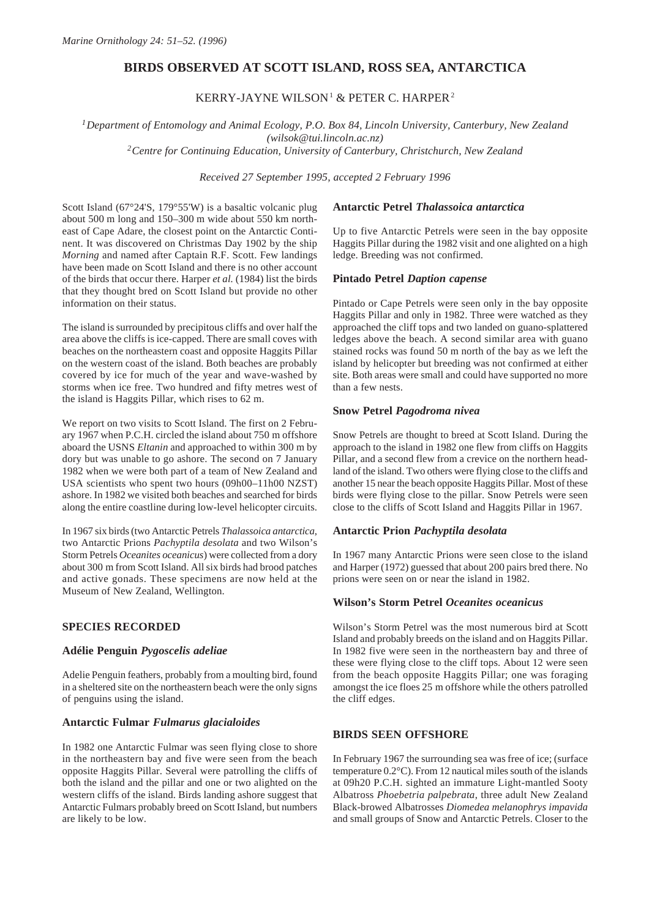# **BIRDS OBSERVED AT SCOTT ISLAND, ROSS SEA, ANTARCTICA**

# KERRY-JAYNE WILSON<sup>1</sup> & PETER C. HARPER<sup>2</sup>

*1Department of Entomology and Animal Ecology, P.O. Box 84, Lincoln University, Canterbury, New Zealand (wilsok@tui.lincoln.ac.nz)*

*2Centre for Continuing Education, University of Canterbury, Christchurch, New Zealand*

*Received 27 September 1995, accepted 2 February 1996*

Scott Island (67°24'S, 179°55'W) is a basaltic volcanic plug about 500 m long and 150–300 m wide about 550 km northeast of Cape Adare, the closest point on the Antarctic Continent. It was discovered on Christmas Day 1902 by the ship *Morning* and named after Captain R.F. Scott. Few landings have been made on Scott Island and there is no other account of the birds that occur there. Harper *et al.* (1984) list the birds that they thought bred on Scott Island but provide no other information on their status.

The island is surrounded by precipitous cliffs and over half the area above the cliffs is ice-capped. There are small coves with beaches on the northeastern coast and opposite Haggits Pillar on the western coast of the island. Both beaches are probably covered by ice for much of the year and wave-washed by storms when ice free. Two hundred and fifty metres west of the island is Haggits Pillar, which rises to 62 m.

We report on two visits to Scott Island. The first on 2 February 1967 when P.C.H. circled the island about 750 m offshore aboard the USNS *Eltanin* and approached to within 300 m by dory but was unable to go ashore. The second on 7 January 1982 when we were both part of a team of New Zealand and USA scientists who spent two hours (09h00–11h00 NZST) ashore. In 1982 we visited both beaches and searched for birds along the entire coastline during low-level helicopter circuits.

In 1967 six birds (two Antarctic Petrels *Thalassoica antarctica*, two Antarctic Prions *Pachyptila desolata* and two Wilson's Storm Petrels *Oceanites oceanicus*) were collected from a dory about 300 m from Scott Island. All six birds had brood patches and active gonads. These specimens are now held at the Museum of New Zealand, Wellington.

## **SPECIES RECORDED**

#### **Adélie Penguin** *Pygoscelis adeliae*

Adelie Penguin feathers, probably from a moulting bird, found in a sheltered site on the northeastern beach were the only signs of penguins using the island.

### **Antarctic Fulmar** *Fulmarus glacialoides*

In 1982 one Antarctic Fulmar was seen flying close to shore in the northeastern bay and five were seen from the beach opposite Haggits Pillar. Several were patrolling the cliffs of both the island and the pillar and one or two alighted on the western cliffs of the island. Birds landing ashore suggest that Antarctic Fulmars probably breed on Scott Island, but numbers are likely to be low.

### **Antarctic Petrel** *Thalassoica antarctica*

Up to five Antarctic Petrels were seen in the bay opposite Haggits Pillar during the 1982 visit and one alighted on a high ledge. Breeding was not confirmed.

### **Pintado Petrel** *Daption capense*

Pintado or Cape Petrels were seen only in the bay opposite Haggits Pillar and only in 1982. Three were watched as they approached the cliff tops and two landed on guano-splattered ledges above the beach. A second similar area with guano stained rocks was found 50 m north of the bay as we left the island by helicopter but breeding was not confirmed at either site. Both areas were small and could have supported no more than a few nests.

### **Snow Petrel** *Pagodroma nivea*

Snow Petrels are thought to breed at Scott Island. During the approach to the island in 1982 one flew from cliffs on Haggits Pillar, and a second flew from a crevice on the northern headland of the island. Two others were flying close to the cliffs and another 15 near the beach opposite Haggits Pillar. Most of these birds were flying close to the pillar. Snow Petrels were seen close to the cliffs of Scott Island and Haggits Pillar in 1967.

#### **Antarctic Prion** *Pachyptila desolata*

In 1967 many Antarctic Prions were seen close to the island and Harper (1972) guessed that about 200 pairs bred there. No prions were seen on or near the island in 1982.

### **Wilson's Storm Petrel** *Oceanites oceanicus*

Wilson's Storm Petrel was the most numerous bird at Scott Island and probably breeds on the island and on Haggits Pillar. In 1982 five were seen in the northeastern bay and three of these were flying close to the cliff tops. About 12 were seen from the beach opposite Haggits Pillar; one was foraging amongst the ice floes 25 m offshore while the others patrolled the cliff edges.

### **BIRDS SEEN OFFSHORE**

In February 1967 the surrounding sea was free of ice; (surface temperature 0.2°C). From 12 nautical miles south of the islands at 09h20 P.C.H. sighted an immature Light-mantled Sooty Albatross *Phoebetria palpebrata*, three adult New Zealand Black-browed Albatrosses *Diomedea melanophrys impavida* and small groups of Snow and Antarctic Petrels. Closer to the